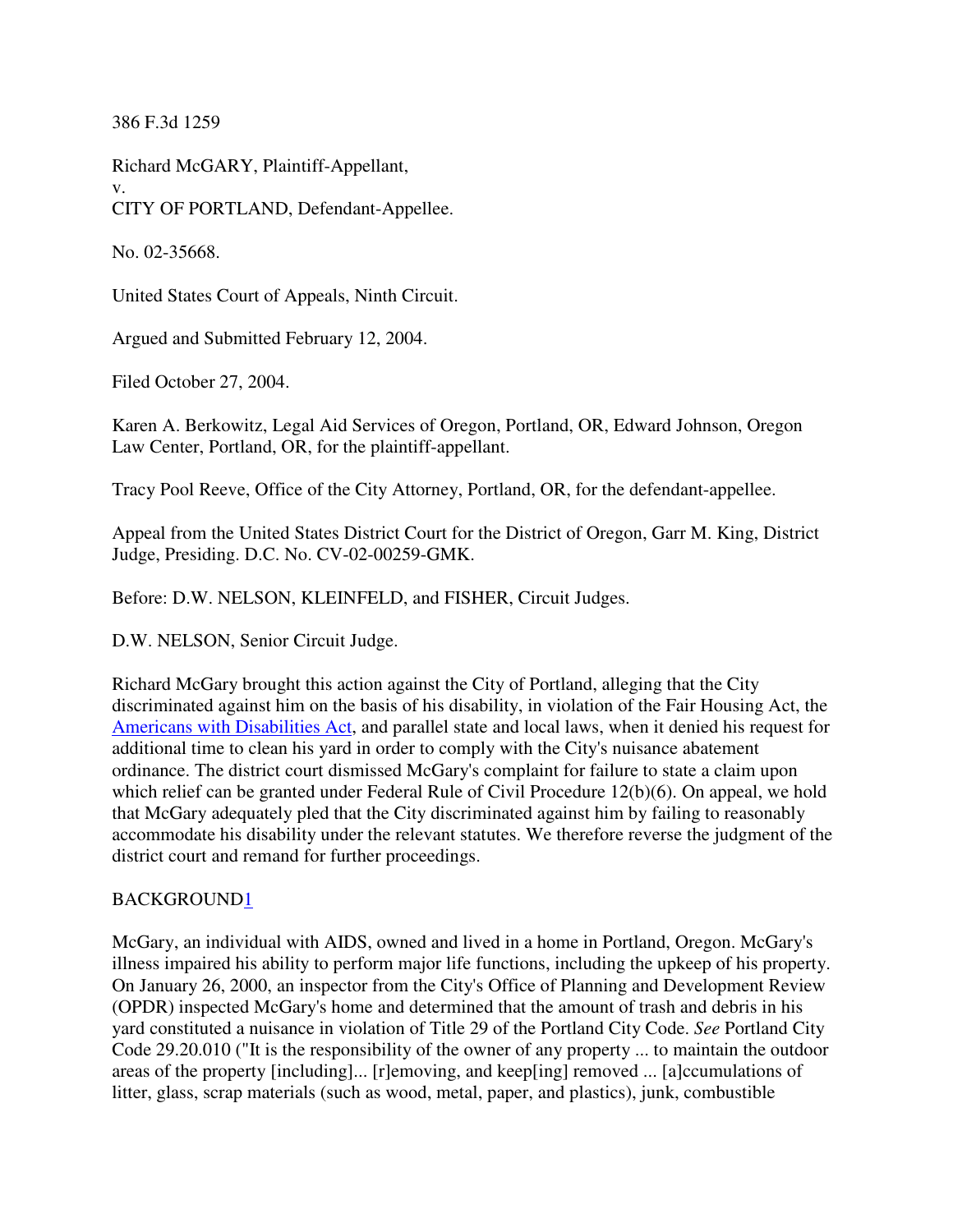386 F.3d 1259

Richard McGARY, Plaintiff-Appellant, v. CITY OF PORTLAND, Defendant-Appellee.

No. 02-35668.

United States Court of Appeals, Ninth Circuit.

Argued and Submitted February 12, 2004.

Filed October 27, 2004.

Karen A. Berkowitz, Legal Aid Services of Oregon, Portland, OR, Edward Johnson, Oregon Law Center, Portland, OR, for the plaintiff-appellant.

Tracy Pool Reeve, Office of the City Attorney, Portland, OR, for the defendant-appellee.

Appeal from the United States District Court for the District of Oregon, Garr M. King, District Judge, Presiding. D.C. No. CV-02-00259-GMK.

Before: D.W. NELSON, KLEINFELD, and FISHER, Circuit Judges.

D.W. NELSON, Senior Circuit Judge.

Richard McGary brought this action against the City of Portland, alleging that the City discriminated against him on the basis of his disability, in violation of the Fair Housing Act, the Americans with Disabilities Act, and parallel state and local laws, when it denied his request for additional time to clean his yard in order to comply with the City's nuisance abatement ordinance. The district court dismissed McGary's complaint for failure to state a claim upon which relief can be granted under Federal Rule of Civil Procedure 12(b)(6). On appeal, we hold that McGary adequately pled that the City discriminated against him by failing to reasonably accommodate his disability under the relevant statutes. We therefore reverse the judgment of the district court and remand for further proceedings.

### BACKGROUND1

McGary, an individual with AIDS, owned and lived in a home in Portland, Oregon. McGary's illness impaired his ability to perform major life functions, including the upkeep of his property. On January 26, 2000, an inspector from the City's Office of Planning and Development Review (OPDR) inspected McGary's home and determined that the amount of trash and debris in his yard constituted a nuisance in violation of Title 29 of the Portland City Code. *See* Portland City Code 29.20.010 ("It is the responsibility of the owner of any property ... to maintain the outdoor areas of the property [including]... [r]emoving, and keep[ing] removed ... [a]ccumulations of litter, glass, scrap materials (such as wood, metal, paper, and plastics), junk, combustible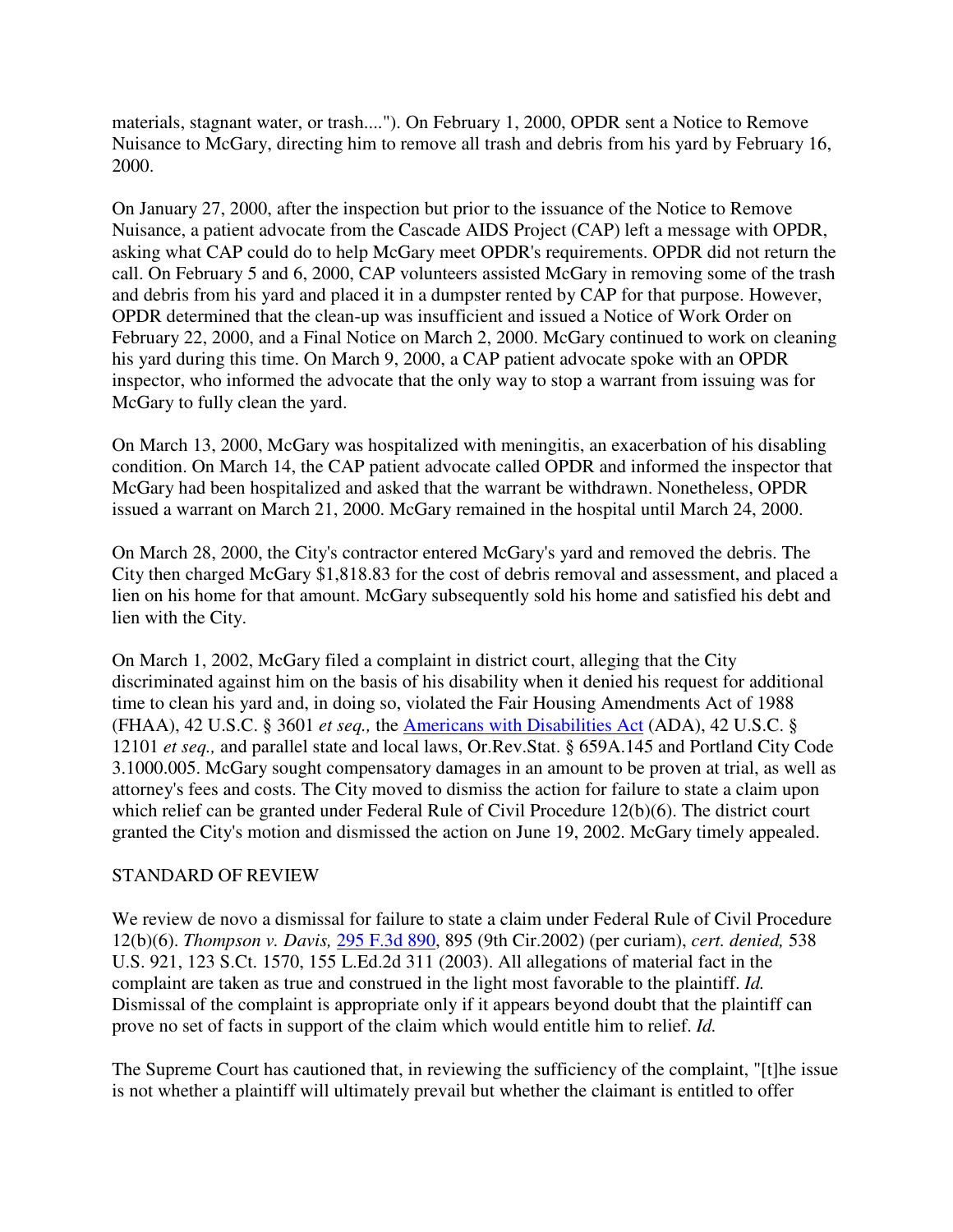materials, stagnant water, or trash...."). On February 1, 2000, OPDR sent a Notice to Remove Nuisance to McGary, directing him to remove all trash and debris from his yard by February 16, 2000.

On January 27, 2000, after the inspection but prior to the issuance of the Notice to Remove Nuisance, a patient advocate from the Cascade AIDS Project (CAP) left a message with OPDR, asking what CAP could do to help McGary meet OPDR's requirements. OPDR did not return the call. On February 5 and 6, 2000, CAP volunteers assisted McGary in removing some of the trash and debris from his yard and placed it in a dumpster rented by CAP for that purpose. However, OPDR determined that the clean-up was insufficient and issued a Notice of Work Order on February 22, 2000, and a Final Notice on March 2, 2000. McGary continued to work on cleaning his yard during this time. On March 9, 2000, a CAP patient advocate spoke with an OPDR inspector, who informed the advocate that the only way to stop a warrant from issuing was for McGary to fully clean the yard.

On March 13, 2000, McGary was hospitalized with meningitis, an exacerbation of his disabling condition. On March 14, the CAP patient advocate called OPDR and informed the inspector that McGary had been hospitalized and asked that the warrant be withdrawn. Nonetheless, OPDR issued a warrant on March 21, 2000. McGary remained in the hospital until March 24, 2000.

On March 28, 2000, the City's contractor entered McGary's yard and removed the debris. The City then charged McGary \$1,818.83 for the cost of debris removal and assessment, and placed a lien on his home for that amount. McGary subsequently sold his home and satisfied his debt and lien with the City.

On March 1, 2002, McGary filed a complaint in district court, alleging that the City discriminated against him on the basis of his disability when it denied his request for additional time to clean his yard and, in doing so, violated the Fair Housing Amendments Act of 1988 (FHAA), 42 U.S.C. § 3601 *et seq.,* the Americans with Disabilities Act (ADA), 42 U.S.C. § 12101 *et seq.,* and parallel state and local laws, Or.Rev.Stat. § 659A.145 and Portland City Code 3.1000.005. McGary sought compensatory damages in an amount to be proven at trial, as well as attorney's fees and costs. The City moved to dismiss the action for failure to state a claim upon which relief can be granted under Federal Rule of Civil Procedure 12(b)(6). The district court granted the City's motion and dismissed the action on June 19, 2002. McGary timely appealed.

### STANDARD OF REVIEW

We review de novo a dismissal for failure to state a claim under Federal Rule of Civil Procedure 12(b)(6). *Thompson v. Davis,* 295 F.3d 890, 895 (9th Cir.2002) (per curiam), *cert. denied,* 538 U.S. 921, 123 S.Ct. 1570, 155 L.Ed.2d 311 (2003). All allegations of material fact in the complaint are taken as true and construed in the light most favorable to the plaintiff. *Id.* Dismissal of the complaint is appropriate only if it appears beyond doubt that the plaintiff can prove no set of facts in support of the claim which would entitle him to relief. *Id.*

The Supreme Court has cautioned that, in reviewing the sufficiency of the complaint, "[t]he issue is not whether a plaintiff will ultimately prevail but whether the claimant is entitled to offer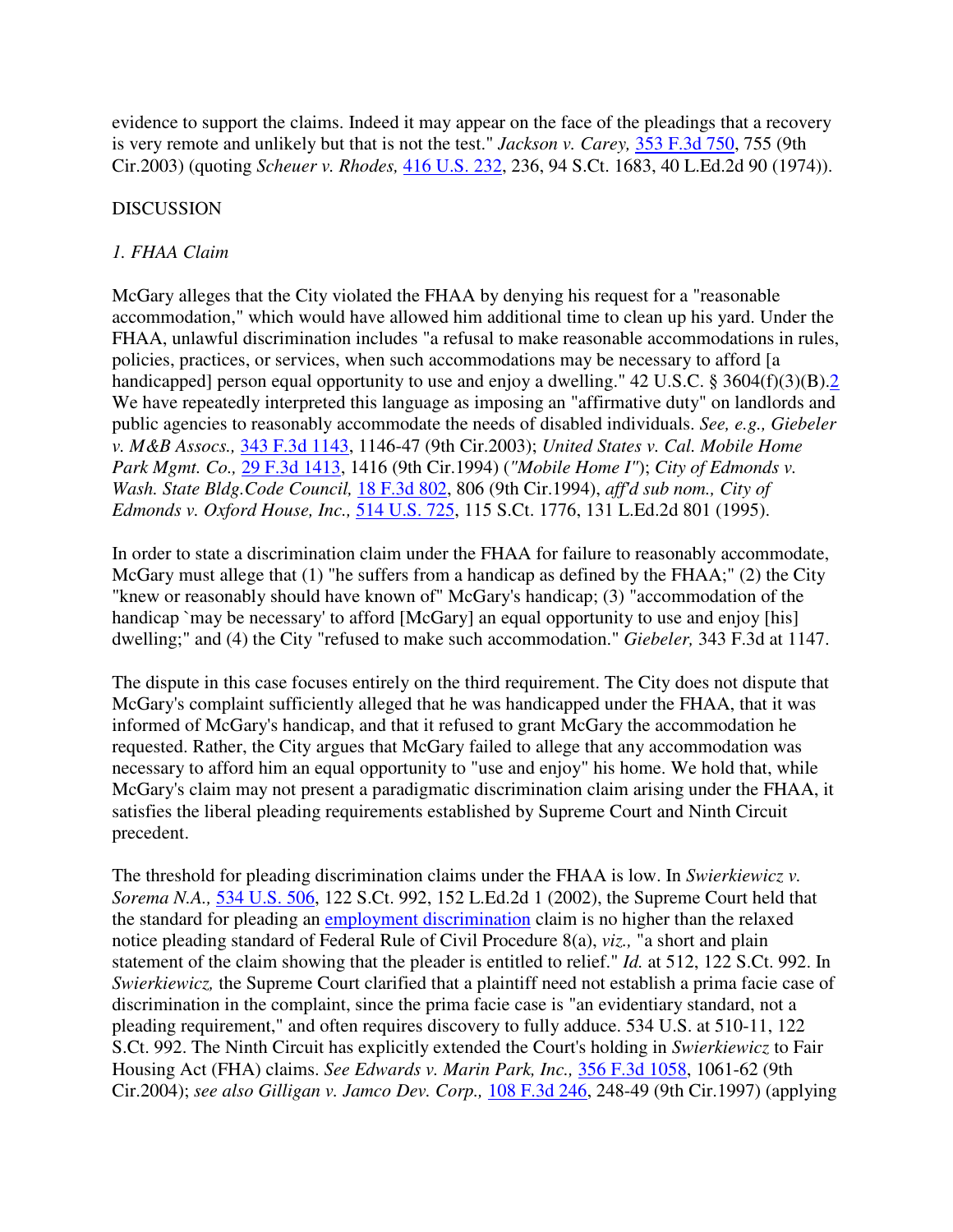evidence to support the claims. Indeed it may appear on the face of the pleadings that a recovery is very remote and unlikely but that is not the test." *Jackson v. Carey,* 353 F.3d 750, 755 (9th Cir.2003) (quoting *Scheuer v. Rhodes,* 416 U.S. 232, 236, 94 S.Ct. 1683, 40 L.Ed.2d 90 (1974)).

# DISCUSSION

# *1. FHAA Claim*

McGary alleges that the City violated the FHAA by denying his request for a "reasonable accommodation," which would have allowed him additional time to clean up his yard. Under the FHAA, unlawful discrimination includes "a refusal to make reasonable accommodations in rules, policies, practices, or services, when such accommodations may be necessary to afford [a handicapped] person equal opportunity to use and enjoy a dwelling." 42 U.S.C. § 3604(f)(3)(B).2 We have repeatedly interpreted this language as imposing an "affirmative duty" on landlords and public agencies to reasonably accommodate the needs of disabled individuals. *See, e.g., Giebeler v. M&B Assocs.,* 343 F.3d 1143, 1146-47 (9th Cir.2003); *United States v. Cal. Mobile Home Park Mgmt. Co.,* 29 F.3d 1413, 1416 (9th Cir.1994) (*"Mobile Home I"*); *City of Edmonds v. Wash. State Bldg.Code Council,* 18 F.3d 802, 806 (9th Cir.1994), *aff'd sub nom., City of Edmonds v. Oxford House, Inc.,* 514 U.S. 725, 115 S.Ct. 1776, 131 L.Ed.2d 801 (1995).

In order to state a discrimination claim under the FHAA for failure to reasonably accommodate, McGary must allege that (1) "he suffers from a handicap as defined by the FHAA;" (2) the City "knew or reasonably should have known of" McGary's handicap; (3) "accommodation of the handicap `may be necessary' to afford [McGary] an equal opportunity to use and enjoy [his] dwelling;" and (4) the City "refused to make such accommodation." *Giebeler,* 343 F.3d at 1147.

The dispute in this case focuses entirely on the third requirement. The City does not dispute that McGary's complaint sufficiently alleged that he was handicapped under the FHAA, that it was informed of McGary's handicap, and that it refused to grant McGary the accommodation he requested. Rather, the City argues that McGary failed to allege that any accommodation was necessary to afford him an equal opportunity to "use and enjoy" his home. We hold that, while McGary's claim may not present a paradigmatic discrimination claim arising under the FHAA, it satisfies the liberal pleading requirements established by Supreme Court and Ninth Circuit precedent.

The threshold for pleading discrimination claims under the FHAA is low. In *Swierkiewicz v. Sorema N.A.,* 534 U.S. 506, 122 S.Ct. 992, 152 L.Ed.2d 1 (2002), the Supreme Court held that the standard for pleading an employment discrimination claim is no higher than the relaxed notice pleading standard of Federal Rule of Civil Procedure 8(a), *viz.,* "a short and plain statement of the claim showing that the pleader is entitled to relief." *Id.* at 512, 122 S.Ct. 992. In *Swierkiewicz,* the Supreme Court clarified that a plaintiff need not establish a prima facie case of discrimination in the complaint, since the prima facie case is "an evidentiary standard, not a pleading requirement," and often requires discovery to fully adduce. 534 U.S. at 510-11, 122 S.Ct. 992. The Ninth Circuit has explicitly extended the Court's holding in *Swierkiewicz* to Fair Housing Act (FHA) claims. *See Edwards v. Marin Park, Inc.,* 356 F.3d 1058, 1061-62 (9th Cir.2004); *see also Gilligan v. Jamco Dev. Corp.,* 108 F.3d 246, 248-49 (9th Cir.1997) (applying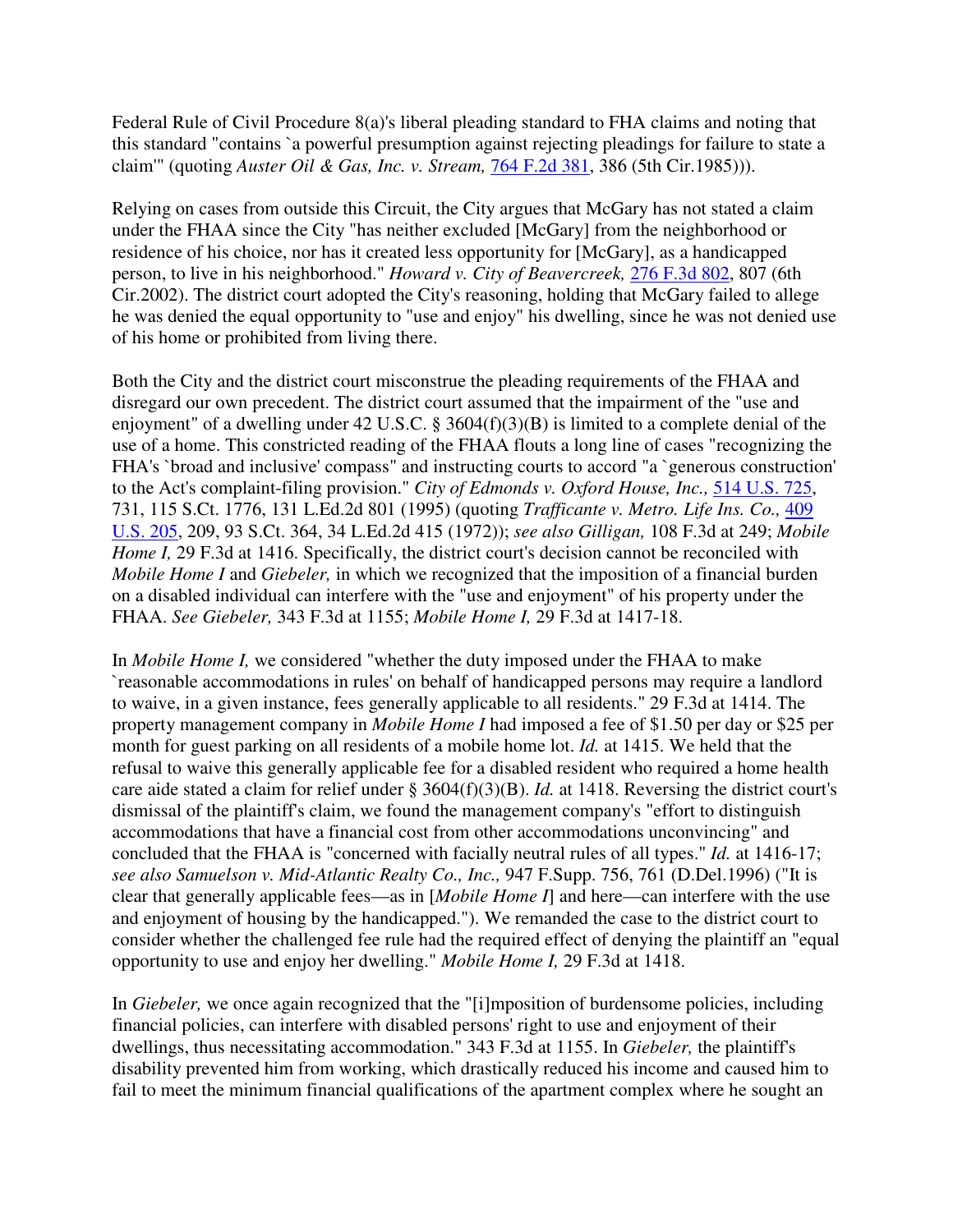Federal Rule of Civil Procedure 8(a)'s liberal pleading standard to FHA claims and noting that this standard "contains `a powerful presumption against rejecting pleadings for failure to state a claim'" (quoting *Auster Oil & Gas, Inc. v. Stream,* 764 F.2d 381, 386 (5th Cir.1985))).

Relying on cases from outside this Circuit, the City argues that McGary has not stated a claim under the FHAA since the City "has neither excluded [McGary] from the neighborhood or residence of his choice, nor has it created less opportunity for [McGary], as a handicapped person, to live in his neighborhood." *Howard v. City of Beavercreek,* 276 F.3d 802, 807 (6th Cir.2002). The district court adopted the City's reasoning, holding that McGary failed to allege he was denied the equal opportunity to "use and enjoy" his dwelling, since he was not denied use of his home or prohibited from living there.

Both the City and the district court misconstrue the pleading requirements of the FHAA and disregard our own precedent. The district court assumed that the impairment of the "use and enjoyment" of a dwelling under 42 U.S.C. § 3604(f)(3)(B) is limited to a complete denial of the use of a home. This constricted reading of the FHAA flouts a long line of cases "recognizing the FHA's `broad and inclusive' compass" and instructing courts to accord "a `generous construction' to the Act's complaint-filing provision." *City of Edmonds v. Oxford House, Inc.,* 514 U.S. 725, 731, 115 S.Ct. 1776, 131 L.Ed.2d 801 (1995) (quoting *Trafficante v. Metro. Life Ins. Co.,* 409 U.S. 205, 209, 93 S.Ct. 364, 34 L.Ed.2d 415 (1972)); *see also Gilligan,* 108 F.3d at 249; *Mobile Home I,* 29 F.3d at 1416. Specifically, the district court's decision cannot be reconciled with *Mobile Home I* and *Giebeler,* in which we recognized that the imposition of a financial burden on a disabled individual can interfere with the "use and enjoyment" of his property under the FHAA. *See Giebeler,* 343 F.3d at 1155; *Mobile Home I,* 29 F.3d at 1417-18.

In *Mobile Home I,* we considered "whether the duty imposed under the FHAA to make `reasonable accommodations in rules' on behalf of handicapped persons may require a landlord to waive, in a given instance, fees generally applicable to all residents." 29 F.3d at 1414. The property management company in *Mobile Home I* had imposed a fee of \$1.50 per day or \$25 per month for guest parking on all residents of a mobile home lot. *Id.* at 1415. We held that the refusal to waive this generally applicable fee for a disabled resident who required a home health care aide stated a claim for relief under § 3604(f)(3)(B). *Id.* at 1418. Reversing the district court's dismissal of the plaintiff's claim, we found the management company's "effort to distinguish accommodations that have a financial cost from other accommodations unconvincing" and concluded that the FHAA is "concerned with facially neutral rules of all types." *Id.* at 1416-17; *see also Samuelson v. Mid-Atlantic Realty Co., Inc.,* 947 F.Supp. 756, 761 (D.Del.1996) ("It is clear that generally applicable fees—as in [*Mobile Home I*] and here—can interfere with the use and enjoyment of housing by the handicapped."). We remanded the case to the district court to consider whether the challenged fee rule had the required effect of denying the plaintiff an "equal opportunity to use and enjoy her dwelling." *Mobile Home I,* 29 F.3d at 1418.

In *Giebeler,* we once again recognized that the "[i]mposition of burdensome policies, including financial policies, can interfere with disabled persons' right to use and enjoyment of their dwellings, thus necessitating accommodation." 343 F.3d at 1155. In *Giebeler,* the plaintiff's disability prevented him from working, which drastically reduced his income and caused him to fail to meet the minimum financial qualifications of the apartment complex where he sought an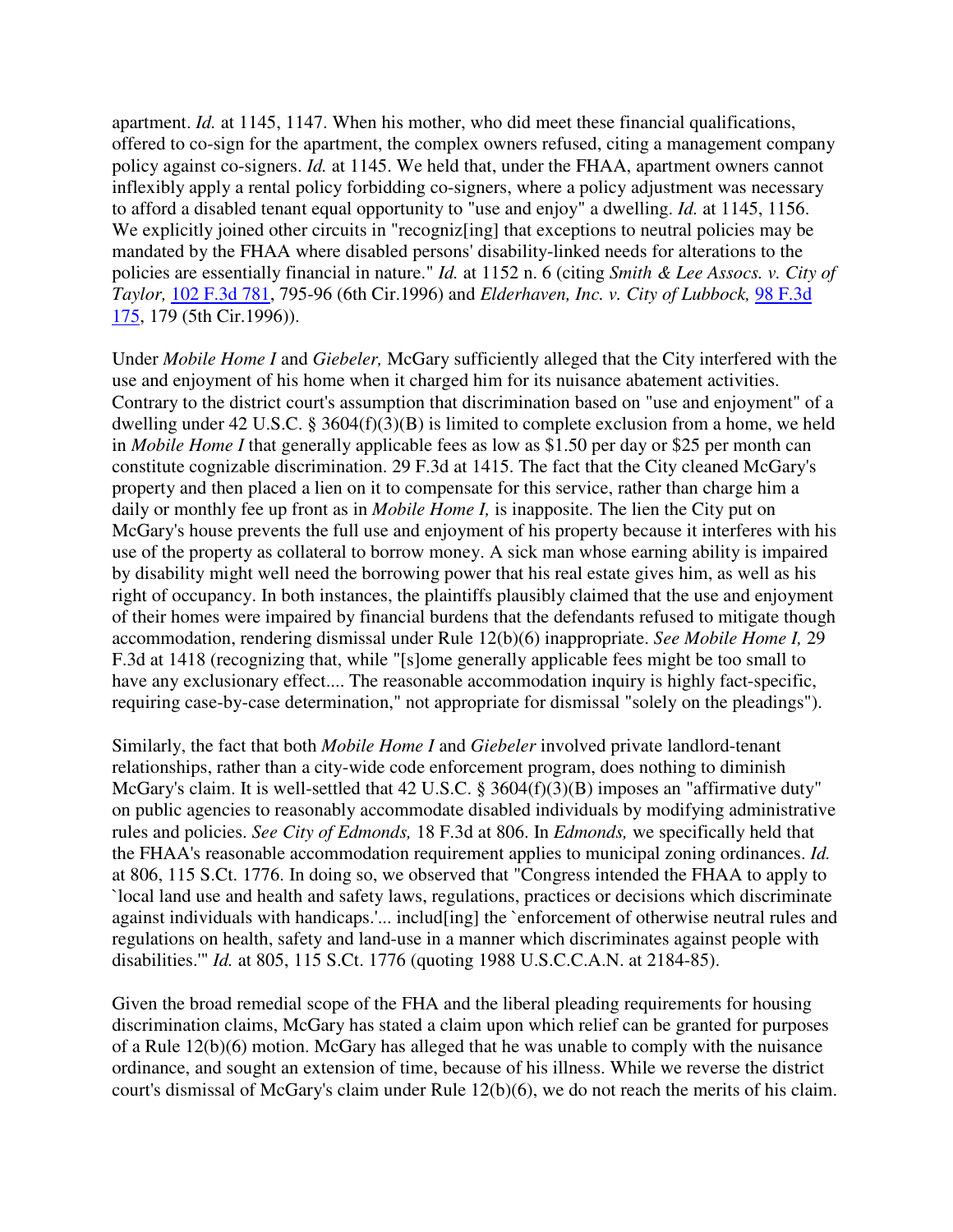apartment. *Id.* at 1145, 1147. When his mother, who did meet these financial qualifications, offered to co-sign for the apartment, the complex owners refused, citing a management company policy against co-signers. *Id.* at 1145. We held that, under the FHAA, apartment owners cannot inflexibly apply a rental policy forbidding co-signers, where a policy adjustment was necessary to afford a disabled tenant equal opportunity to "use and enjoy" a dwelling. *Id.* at 1145, 1156. We explicitly joined other circuits in "recogniz[ing] that exceptions to neutral policies may be mandated by the FHAA where disabled persons' disability-linked needs for alterations to the policies are essentially financial in nature." *Id.* at 1152 n. 6 (citing *Smith & Lee Assocs. v. City of Taylor,* 102 F.3d 781, 795-96 (6th Cir.1996) and *Elderhaven, Inc. v. City of Lubbock,* 98 F.3d 175, 179 (5th Cir.1996)).

Under *Mobile Home I* and *Giebeler,* McGary sufficiently alleged that the City interfered with the use and enjoyment of his home when it charged him for its nuisance abatement activities. Contrary to the district court's assumption that discrimination based on "use and enjoyment" of a dwelling under 42 U.S.C. § 3604(f)(3)(B) is limited to complete exclusion from a home, we held in *Mobile Home I* that generally applicable fees as low as \$1.50 per day or \$25 per month can constitute cognizable discrimination. 29 F.3d at 1415. The fact that the City cleaned McGary's property and then placed a lien on it to compensate for this service, rather than charge him a daily or monthly fee up front as in *Mobile Home I,* is inapposite. The lien the City put on McGary's house prevents the full use and enjoyment of his property because it interferes with his use of the property as collateral to borrow money. A sick man whose earning ability is impaired by disability might well need the borrowing power that his real estate gives him, as well as his right of occupancy. In both instances, the plaintiffs plausibly claimed that the use and enjoyment of their homes were impaired by financial burdens that the defendants refused to mitigate though accommodation, rendering dismissal under Rule 12(b)(6) inappropriate. *See Mobile Home I,* 29 F.3d at 1418 (recognizing that, while "[s]ome generally applicable fees might be too small to have any exclusionary effect.... The reasonable accommodation inquiry is highly fact-specific, requiring case-by-case determination," not appropriate for dismissal "solely on the pleadings").

Similarly, the fact that both *Mobile Home I* and *Giebeler* involved private landlord-tenant relationships, rather than a city-wide code enforcement program, does nothing to diminish McGary's claim. It is well-settled that 42 U.S.C. § 3604(f)(3)(B) imposes an "affirmative duty" on public agencies to reasonably accommodate disabled individuals by modifying administrative rules and policies. *See City of Edmonds,* 18 F.3d at 806. In *Edmonds,* we specifically held that the FHAA's reasonable accommodation requirement applies to municipal zoning ordinances. *Id.* at 806, 115 S.Ct. 1776. In doing so, we observed that "Congress intended the FHAA to apply to `local land use and health and safety laws, regulations, practices or decisions which discriminate against individuals with handicaps.'... includ[ing] the `enforcement of otherwise neutral rules and regulations on health, safety and land-use in a manner which discriminates against people with disabilities.'" *Id.* at 805, 115 S.Ct. 1776 (quoting 1988 U.S.C.C.A.N. at 2184-85).

Given the broad remedial scope of the FHA and the liberal pleading requirements for housing discrimination claims, McGary has stated a claim upon which relief can be granted for purposes of a Rule 12(b)(6) motion. McGary has alleged that he was unable to comply with the nuisance ordinance, and sought an extension of time, because of his illness. While we reverse the district court's dismissal of McGary's claim under Rule 12(b)(6), we do not reach the merits of his claim.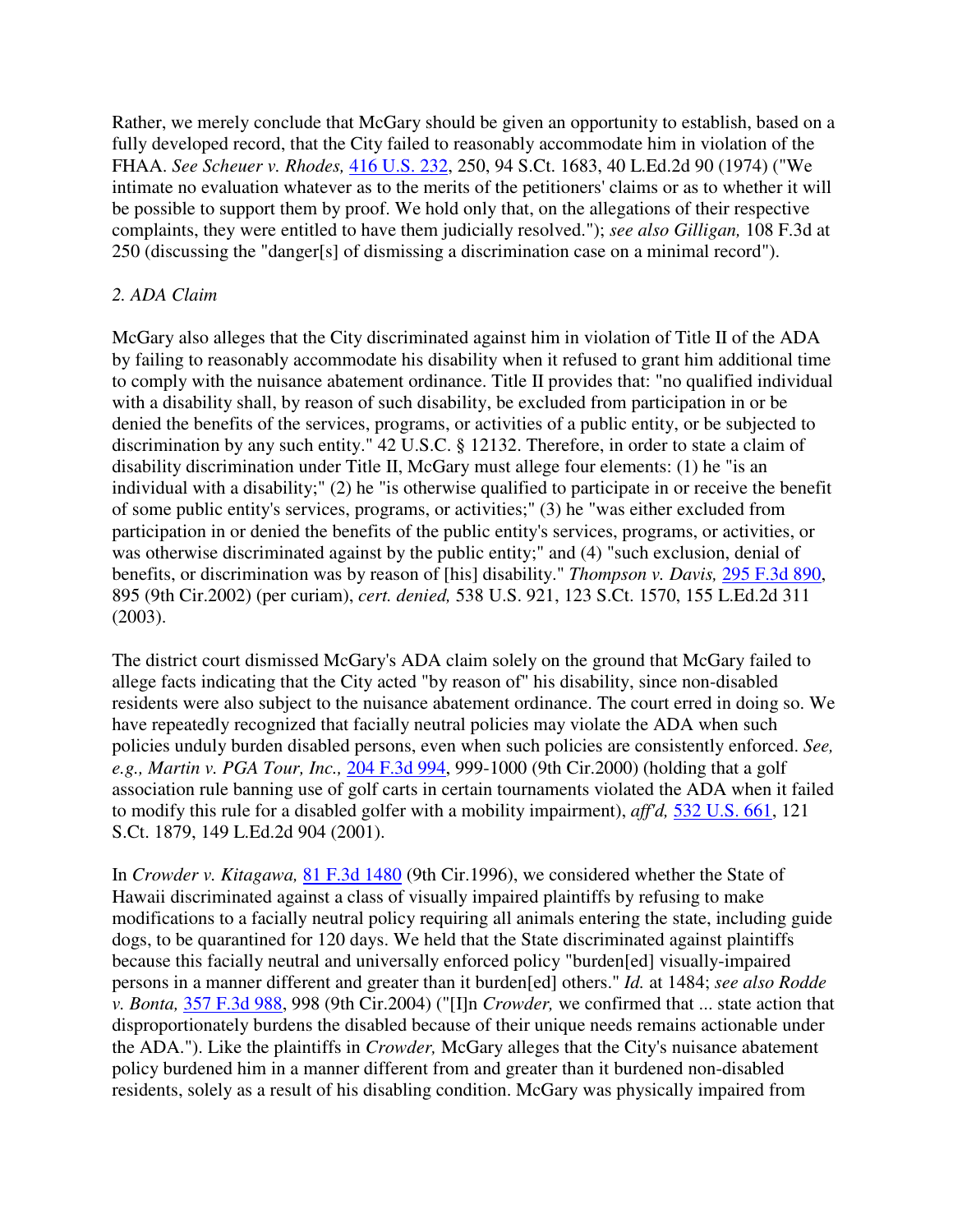Rather, we merely conclude that McGary should be given an opportunity to establish, based on a fully developed record, that the City failed to reasonably accommodate him in violation of the FHAA. *See Scheuer v. Rhodes,* 416 U.S. 232, 250, 94 S.Ct. 1683, 40 L.Ed.2d 90 (1974) ("We intimate no evaluation whatever as to the merits of the petitioners' claims or as to whether it will be possible to support them by proof. We hold only that, on the allegations of their respective complaints, they were entitled to have them judicially resolved."); *see also Gilligan,* 108 F.3d at 250 (discussing the "danger[s] of dismissing a discrimination case on a minimal record").

# *2. ADA Claim*

McGary also alleges that the City discriminated against him in violation of Title II of the ADA by failing to reasonably accommodate his disability when it refused to grant him additional time to comply with the nuisance abatement ordinance. Title II provides that: "no qualified individual with a disability shall, by reason of such disability, be excluded from participation in or be denied the benefits of the services, programs, or activities of a public entity, or be subjected to discrimination by any such entity." 42 U.S.C. § 12132. Therefore, in order to state a claim of disability discrimination under Title II, McGary must allege four elements: (1) he "is an individual with a disability;" (2) he "is otherwise qualified to participate in or receive the benefit of some public entity's services, programs, or activities;" (3) he "was either excluded from participation in or denied the benefits of the public entity's services, programs, or activities, or was otherwise discriminated against by the public entity;" and (4) "such exclusion, denial of benefits, or discrimination was by reason of [his] disability." *Thompson v. Davis,* 295 F.3d 890, 895 (9th Cir.2002) (per curiam), *cert. denied,* 538 U.S. 921, 123 S.Ct. 1570, 155 L.Ed.2d 311 (2003).

The district court dismissed McGary's ADA claim solely on the ground that McGary failed to allege facts indicating that the City acted "by reason of" his disability, since non-disabled residents were also subject to the nuisance abatement ordinance. The court erred in doing so. We have repeatedly recognized that facially neutral policies may violate the ADA when such policies unduly burden disabled persons, even when such policies are consistently enforced. *See, e.g., Martin v. PGA Tour, Inc.,* 204 F.3d 994, 999-1000 (9th Cir.2000) (holding that a golf association rule banning use of golf carts in certain tournaments violated the ADA when it failed to modify this rule for a disabled golfer with a mobility impairment), *aff'd,* 532 U.S. 661, 121 S.Ct. 1879, 149 L.Ed.2d 904 (2001).

In *Crowder v. Kitagawa,* 81 F.3d 1480 (9th Cir.1996), we considered whether the State of Hawaii discriminated against a class of visually impaired plaintiffs by refusing to make modifications to a facially neutral policy requiring all animals entering the state, including guide dogs, to be quarantined for 120 days. We held that the State discriminated against plaintiffs because this facially neutral and universally enforced policy "burden[ed] visually-impaired persons in a manner different and greater than it burden[ed] others." *Id.* at 1484; *see also Rodde v. Bonta,* 357 F.3d 988, 998 (9th Cir.2004) ("[I]n *Crowder,* we confirmed that ... state action that disproportionately burdens the disabled because of their unique needs remains actionable under the ADA."). Like the plaintiffs in *Crowder,* McGary alleges that the City's nuisance abatement policy burdened him in a manner different from and greater than it burdened non-disabled residents, solely as a result of his disabling condition. McGary was physically impaired from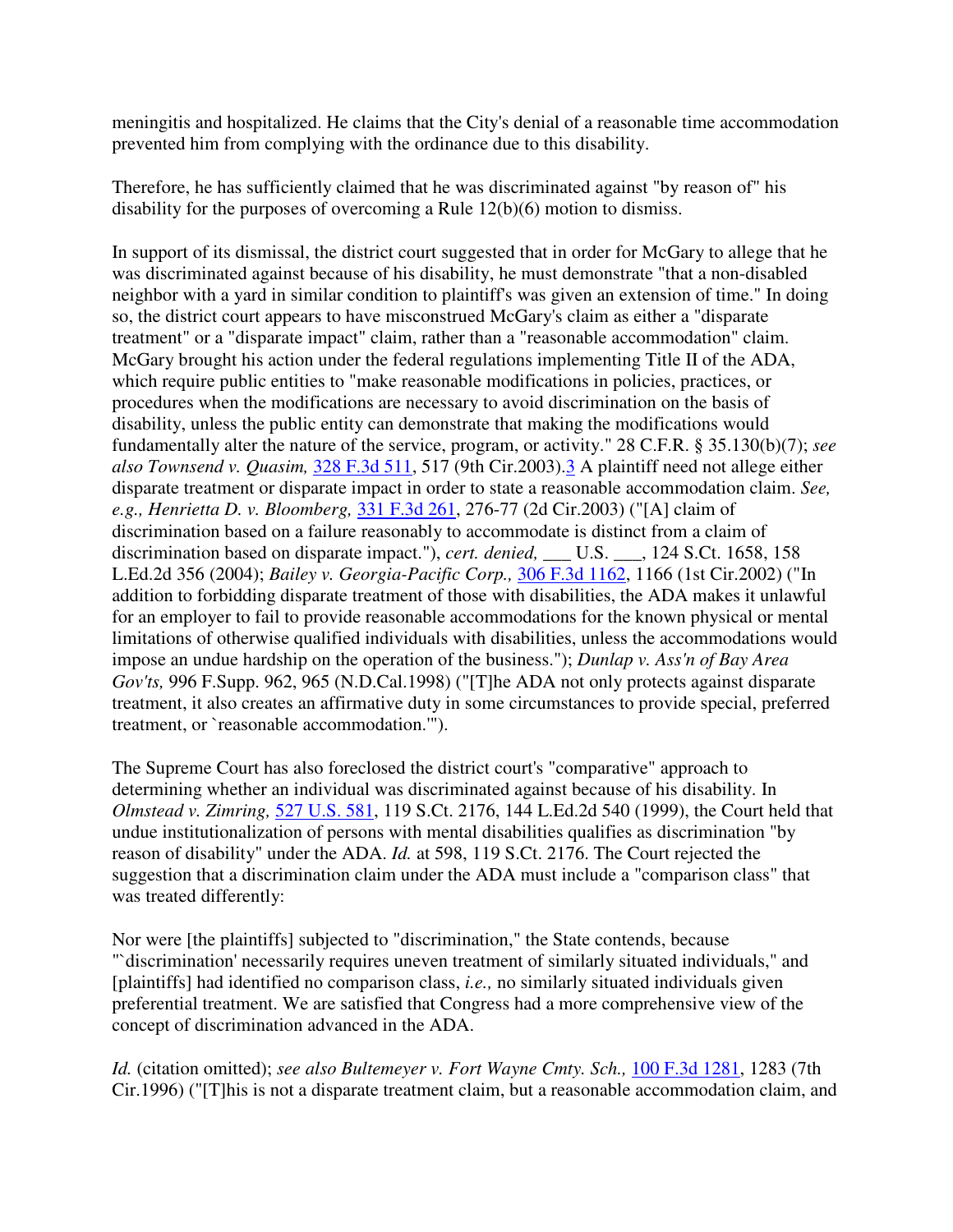meningitis and hospitalized. He claims that the City's denial of a reasonable time accommodation prevented him from complying with the ordinance due to this disability.

Therefore, he has sufficiently claimed that he was discriminated against "by reason of" his disability for the purposes of overcoming a Rule 12(b)(6) motion to dismiss.

In support of its dismissal, the district court suggested that in order for McGary to allege that he was discriminated against because of his disability, he must demonstrate "that a non-disabled neighbor with a yard in similar condition to plaintiff's was given an extension of time." In doing so, the district court appears to have misconstrued McGary's claim as either a "disparate treatment" or a "disparate impact" claim, rather than a "reasonable accommodation" claim. McGary brought his action under the federal regulations implementing Title II of the ADA, which require public entities to "make reasonable modifications in policies, practices, or procedures when the modifications are necessary to avoid discrimination on the basis of disability, unless the public entity can demonstrate that making the modifications would fundamentally alter the nature of the service, program, or activity." 28 C.F.R. § 35.130(b)(7); *see also Townsend v. Quasim,* 328 F.3d 511, 517 (9th Cir.2003).3 A plaintiff need not allege either disparate treatment or disparate impact in order to state a reasonable accommodation claim. *See, e.g., Henrietta D. v. Bloomberg,* 331 F.3d 261, 276-77 (2d Cir.2003) ("[A] claim of discrimination based on a failure reasonably to accommodate is distinct from a claim of discrimination based on disparate impact."), *cert. denied*, U.S. , 124 S.Ct. 1658, 158 L.Ed.2d 356 (2004); *Bailey v. Georgia-Pacific Corp.,* 306 F.3d 1162, 1166 (1st Cir.2002) ("In addition to forbidding disparate treatment of those with disabilities, the ADA makes it unlawful for an employer to fail to provide reasonable accommodations for the known physical or mental limitations of otherwise qualified individuals with disabilities, unless the accommodations would impose an undue hardship on the operation of the business."); *Dunlap v. Ass'n of Bay Area Gov'ts,* 996 F.Supp. 962, 965 (N.D.Cal.1998) ("[T]he ADA not only protects against disparate treatment, it also creates an affirmative duty in some circumstances to provide special, preferred treatment, or `reasonable accommodation.'").

The Supreme Court has also foreclosed the district court's "comparative" approach to determining whether an individual was discriminated against because of his disability. In *Olmstead v. Zimring,* 527 U.S. 581, 119 S.Ct. 2176, 144 L.Ed.2d 540 (1999), the Court held that undue institutionalization of persons with mental disabilities qualifies as discrimination "by reason of disability" under the ADA. *Id.* at 598, 119 S.Ct. 2176. The Court rejected the suggestion that a discrimination claim under the ADA must include a "comparison class" that was treated differently:

Nor were [the plaintiffs] subjected to "discrimination," the State contends, because "`discrimination' necessarily requires uneven treatment of similarly situated individuals," and [plaintiffs] had identified no comparison class, *i.e.,* no similarly situated individuals given preferential treatment. We are satisfied that Congress had a more comprehensive view of the concept of discrimination advanced in the ADA.

*Id.* (citation omitted); *see also Bultemeyer v. Fort Wayne Cmty. Sch.,* 100 F.3d 1281, 1283 (7th Cir.1996) ("[T]his is not a disparate treatment claim, but a reasonable accommodation claim, and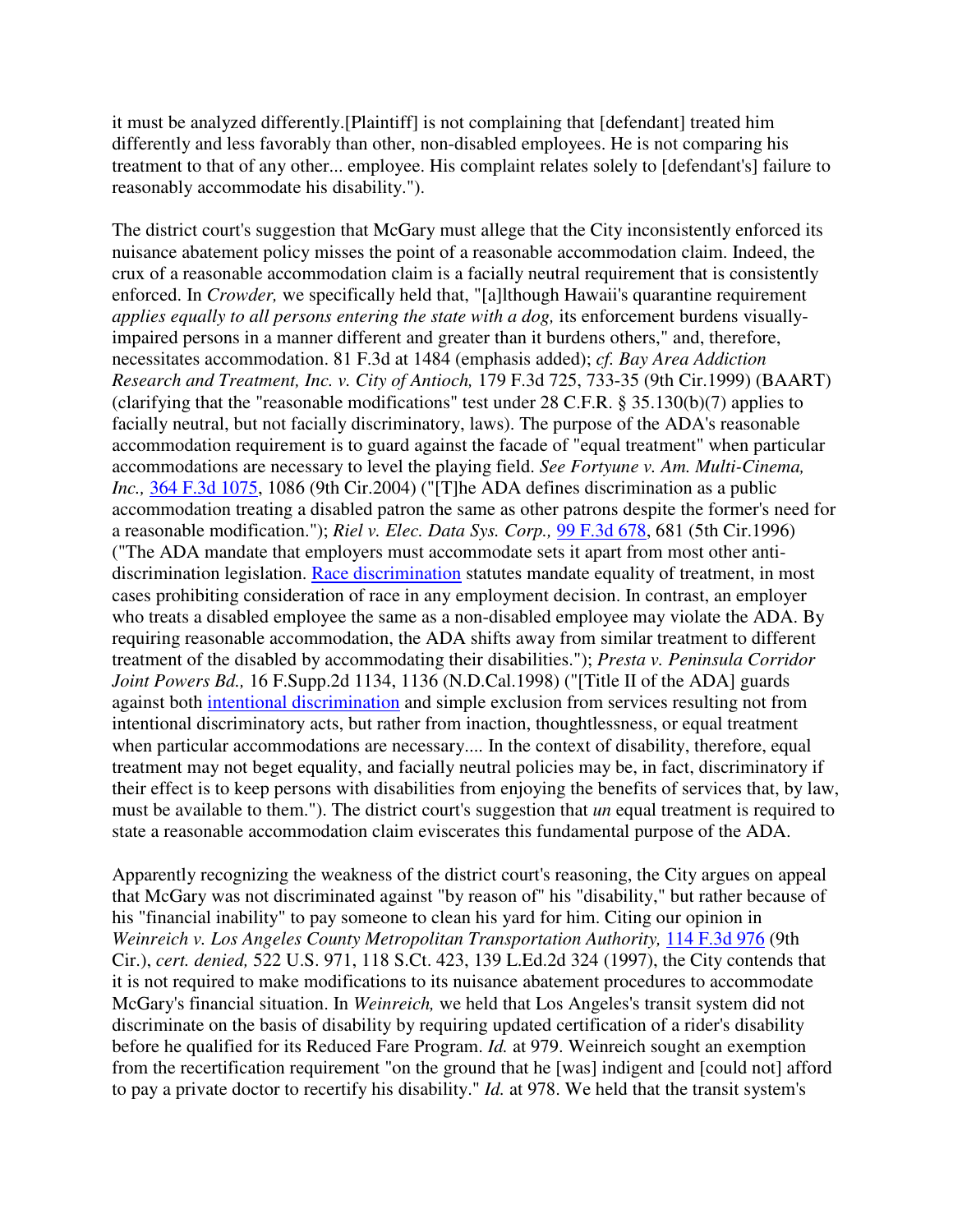it must be analyzed differently.[Plaintiff] is not complaining that [defendant] treated him differently and less favorably than other, non-disabled employees. He is not comparing his treatment to that of any other... employee. His complaint relates solely to [defendant's] failure to reasonably accommodate his disability.").

The district court's suggestion that McGary must allege that the City inconsistently enforced its nuisance abatement policy misses the point of a reasonable accommodation claim. Indeed, the crux of a reasonable accommodation claim is a facially neutral requirement that is consistently enforced. In *Crowder,* we specifically held that, "[a]lthough Hawaii's quarantine requirement *applies equally to all persons entering the state with a dog,* its enforcement burdens visuallyimpaired persons in a manner different and greater than it burdens others," and, therefore, necessitates accommodation. 81 F.3d at 1484 (emphasis added); *cf. Bay Area Addiction Research and Treatment, Inc. v. City of Antioch,* 179 F.3d 725, 733-35 (9th Cir.1999) (BAART) (clarifying that the "reasonable modifications" test under 28 C.F.R. § 35.130(b)(7) applies to facially neutral, but not facially discriminatory, laws). The purpose of the ADA's reasonable accommodation requirement is to guard against the facade of "equal treatment" when particular accommodations are necessary to level the playing field. *See Fortyune v. Am. Multi-Cinema, Inc.,* 364 F.3d 1075, 1086 (9th Cir.2004) ("[T]he ADA defines discrimination as a public accommodation treating a disabled patron the same as other patrons despite the former's need for a reasonable modification."); *Riel v. Elec. Data Sys. Corp.,* 99 F.3d 678, 681 (5th Cir.1996) ("The ADA mandate that employers must accommodate sets it apart from most other antidiscrimination legislation. Race discrimination statutes mandate equality of treatment, in most cases prohibiting consideration of race in any employment decision. In contrast, an employer who treats a disabled employee the same as a non-disabled employee may violate the ADA. By requiring reasonable accommodation, the ADA shifts away from similar treatment to different treatment of the disabled by accommodating their disabilities."); *Presta v. Peninsula Corridor Joint Powers Bd.,* 16 F.Supp.2d 1134, 1136 (N.D.Cal.1998) ("[Title II of the ADA] guards against both intentional discrimination and simple exclusion from services resulting not from intentional discriminatory acts, but rather from inaction, thoughtlessness, or equal treatment when particular accommodations are necessary.... In the context of disability, therefore, equal treatment may not beget equality, and facially neutral policies may be, in fact, discriminatory if their effect is to keep persons with disabilities from enjoying the benefits of services that, by law, must be available to them."). The district court's suggestion that *un* equal treatment is required to state a reasonable accommodation claim eviscerates this fundamental purpose of the ADA.

Apparently recognizing the weakness of the district court's reasoning, the City argues on appeal that McGary was not discriminated against "by reason of" his "disability," but rather because of his "financial inability" to pay someone to clean his yard for him. Citing our opinion in *Weinreich v. Los Angeles County Metropolitan Transportation Authority,* 114 F.3d 976 (9th Cir.), *cert. denied,* 522 U.S. 971, 118 S.Ct. 423, 139 L.Ed.2d 324 (1997), the City contends that it is not required to make modifications to its nuisance abatement procedures to accommodate McGary's financial situation. In *Weinreich,* we held that Los Angeles's transit system did not discriminate on the basis of disability by requiring updated certification of a rider's disability before he qualified for its Reduced Fare Program. *Id.* at 979. Weinreich sought an exemption from the recertification requirement "on the ground that he [was] indigent and [could not] afford to pay a private doctor to recertify his disability." *Id.* at 978. We held that the transit system's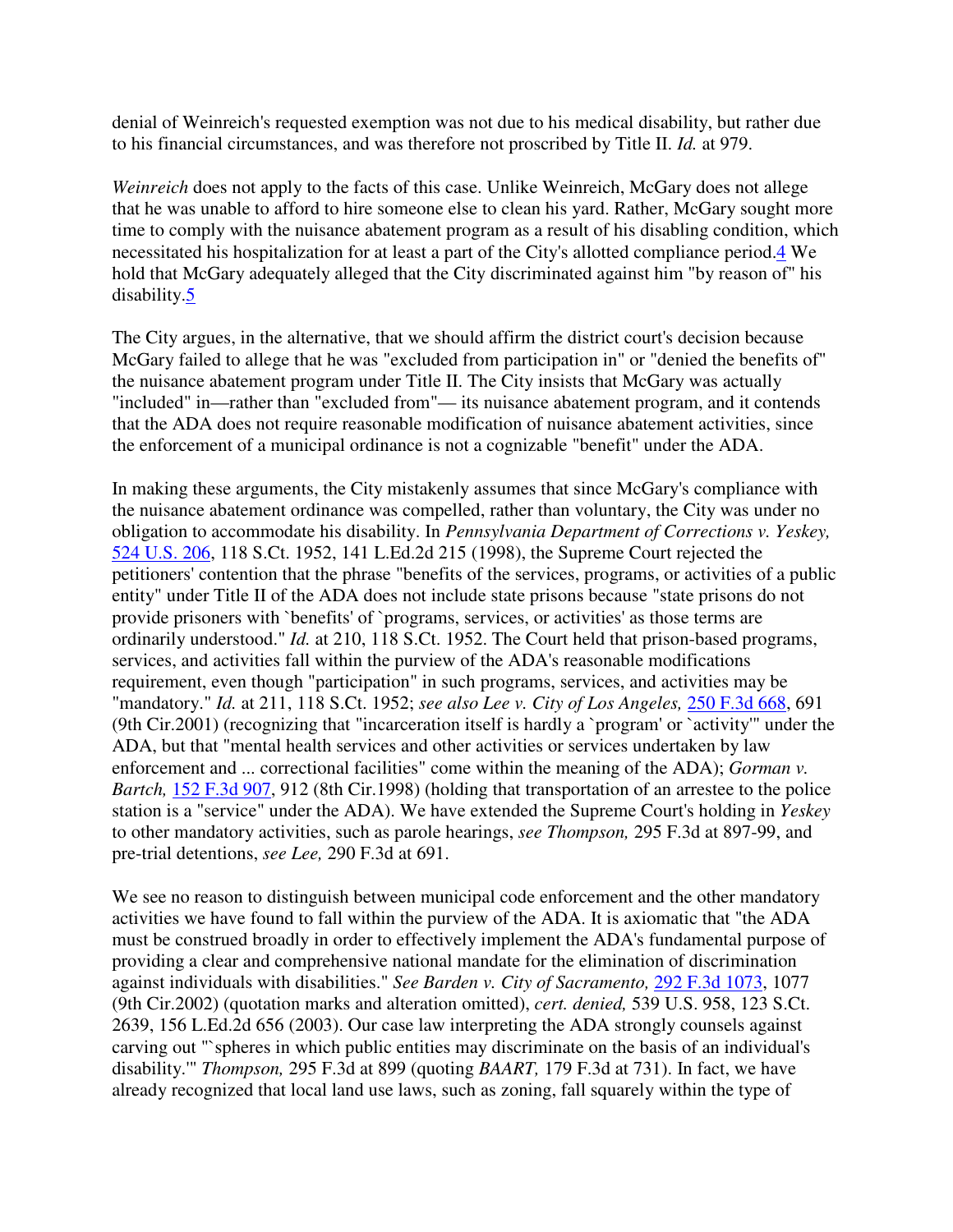denial of Weinreich's requested exemption was not due to his medical disability, but rather due to his financial circumstances, and was therefore not proscribed by Title II. *Id.* at 979.

*Weinreich* does not apply to the facts of this case. Unlike Weinreich, McGary does not allege that he was unable to afford to hire someone else to clean his yard. Rather, McGary sought more time to comply with the nuisance abatement program as a result of his disabling condition, which necessitated his hospitalization for at least a part of the City's allotted compliance period.4 We hold that McGary adequately alleged that the City discriminated against him "by reason of" his disability.5

The City argues, in the alternative, that we should affirm the district court's decision because McGary failed to allege that he was "excluded from participation in" or "denied the benefits of" the nuisance abatement program under Title II. The City insists that McGary was actually "included" in—rather than "excluded from"— its nuisance abatement program, and it contends that the ADA does not require reasonable modification of nuisance abatement activities, since the enforcement of a municipal ordinance is not a cognizable "benefit" under the ADA.

In making these arguments, the City mistakenly assumes that since McGary's compliance with the nuisance abatement ordinance was compelled, rather than voluntary, the City was under no obligation to accommodate his disability. In *Pennsylvania Department of Corrections v. Yeskey,* 524 U.S. 206, 118 S.Ct. 1952, 141 L.Ed.2d 215 (1998), the Supreme Court rejected the petitioners' contention that the phrase "benefits of the services, programs, or activities of a public entity" under Title II of the ADA does not include state prisons because "state prisons do not provide prisoners with `benefits' of `programs, services, or activities' as those terms are ordinarily understood." *Id.* at 210, 118 S.Ct. 1952. The Court held that prison-based programs, services, and activities fall within the purview of the ADA's reasonable modifications requirement, even though "participation" in such programs, services, and activities may be "mandatory." *Id.* at 211, 118 S.Ct. 1952; *see also Lee v. City of Los Angeles,* 250 F.3d 668, 691 (9th Cir.2001) (recognizing that "incarceration itself is hardly a `program' or `activity'" under the ADA, but that "mental health services and other activities or services undertaken by law enforcement and ... correctional facilities" come within the meaning of the ADA); *Gorman v. Bartch,* 152 F.3d 907, 912 (8th Cir.1998) (holding that transportation of an arrestee to the police station is a "service" under the ADA). We have extended the Supreme Court's holding in *Yeskey* to other mandatory activities, such as parole hearings, *see Thompson,* 295 F.3d at 897-99, and pre-trial detentions, *see Lee,* 290 F.3d at 691.

We see no reason to distinguish between municipal code enforcement and the other mandatory activities we have found to fall within the purview of the ADA. It is axiomatic that "the ADA must be construed broadly in order to effectively implement the ADA's fundamental purpose of providing a clear and comprehensive national mandate for the elimination of discrimination against individuals with disabilities." *See Barden v. City of Sacramento,* 292 F.3d 1073, 1077 (9th Cir.2002) (quotation marks and alteration omitted), *cert. denied,* 539 U.S. 958, 123 S.Ct. 2639, 156 L.Ed.2d 656 (2003). Our case law interpreting the ADA strongly counsels against carving out "`spheres in which public entities may discriminate on the basis of an individual's disability.'" *Thompson,* 295 F.3d at 899 (quoting *BAART,* 179 F.3d at 731). In fact, we have already recognized that local land use laws, such as zoning, fall squarely within the type of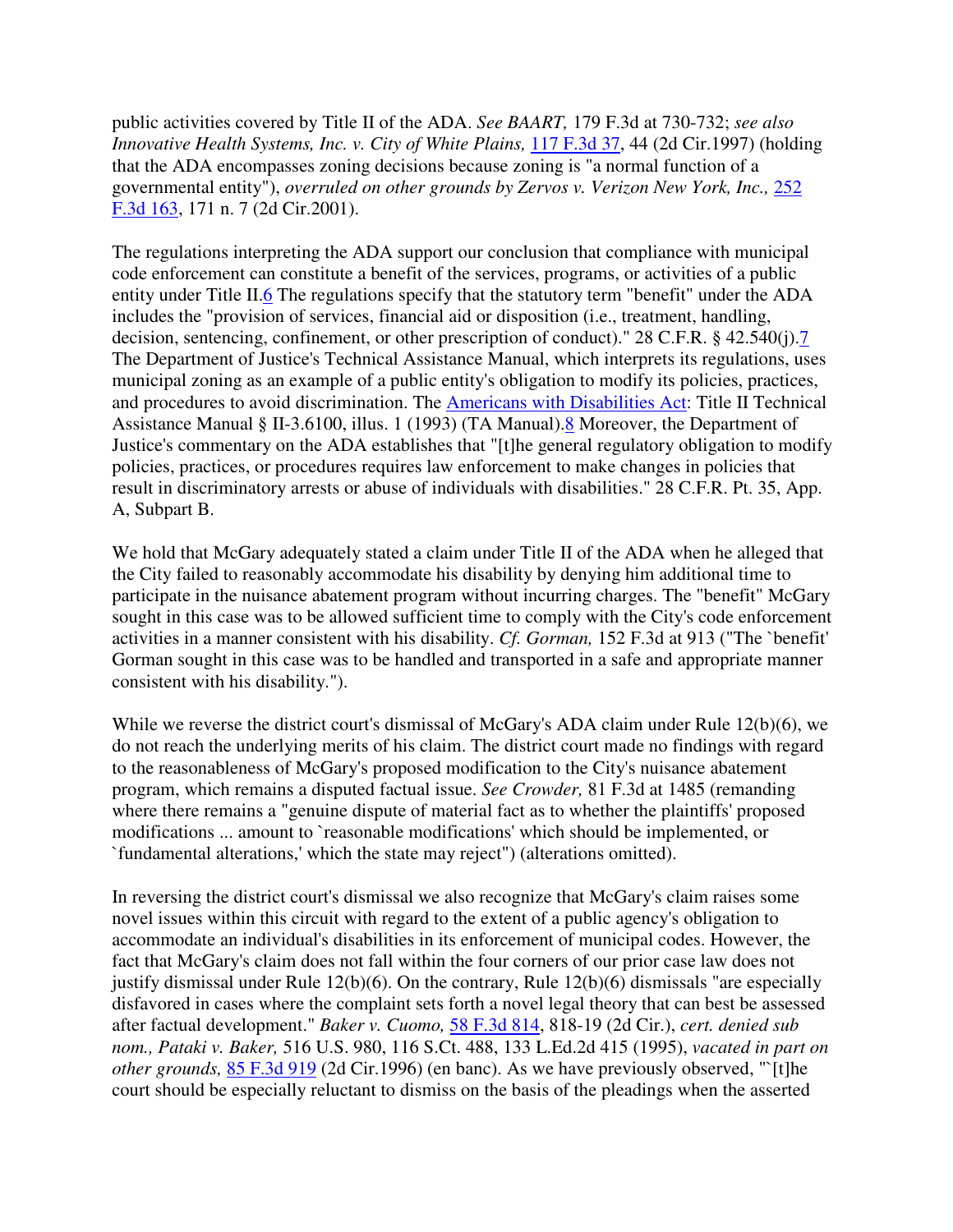public activities covered by Title II of the ADA. *See BAART,* 179 F.3d at 730-732; *see also Innovative Health Systems, Inc. v. City of White Plains,* 117 F.3d 37, 44 (2d Cir.1997) (holding that the ADA encompasses zoning decisions because zoning is "a normal function of a governmental entity"), *overruled on other grounds by Zervos v. Verizon New York, Inc.,* 252 F.3d 163, 171 n. 7 (2d Cir.2001).

The regulations interpreting the ADA support our conclusion that compliance with municipal code enforcement can constitute a benefit of the services, programs, or activities of a public entity under Title II.6 The regulations specify that the statutory term "benefit" under the ADA includes the "provision of services, financial aid or disposition (i.e., treatment, handling, decision, sentencing, confinement, or other prescription of conduct)." 28 C.F.R. § 42.540(j).7 The Department of Justice's Technical Assistance Manual, which interprets its regulations, uses municipal zoning as an example of a public entity's obligation to modify its policies, practices, and procedures to avoid discrimination. The Americans with Disabilities Act: Title II Technical Assistance Manual § II-3.6100, illus. 1 (1993) (TA Manual).8 Moreover, the Department of Justice's commentary on the ADA establishes that "[t]he general regulatory obligation to modify policies, practices, or procedures requires law enforcement to make changes in policies that result in discriminatory arrests or abuse of individuals with disabilities." 28 C.F.R. Pt. 35, App. A, Subpart B.

We hold that McGary adequately stated a claim under Title II of the ADA when he alleged that the City failed to reasonably accommodate his disability by denying him additional time to participate in the nuisance abatement program without incurring charges. The "benefit" McGary sought in this case was to be allowed sufficient time to comply with the City's code enforcement activities in a manner consistent with his disability. *Cf. Gorman,* 152 F.3d at 913 ("The `benefit' Gorman sought in this case was to be handled and transported in a safe and appropriate manner consistent with his disability.").

While we reverse the district court's dismissal of McGary's ADA claim under Rule 12(b)(6), we do not reach the underlying merits of his claim. The district court made no findings with regard to the reasonableness of McGary's proposed modification to the City's nuisance abatement program, which remains a disputed factual issue. *See Crowder,* 81 F.3d at 1485 (remanding where there remains a "genuine dispute of material fact as to whether the plaintiffs' proposed modifications ... amount to `reasonable modifications' which should be implemented, or `fundamental alterations,' which the state may reject") (alterations omitted).

In reversing the district court's dismissal we also recognize that McGary's claim raises some novel issues within this circuit with regard to the extent of a public agency's obligation to accommodate an individual's disabilities in its enforcement of municipal codes. However, the fact that McGary's claim does not fall within the four corners of our prior case law does not justify dismissal under Rule 12(b)(6). On the contrary, Rule 12(b)(6) dismissals "are especially disfavored in cases where the complaint sets forth a novel legal theory that can best be assessed after factual development." *Baker v. Cuomo,* 58 F.3d 814, 818-19 (2d Cir.), *cert. denied sub nom., Pataki v. Baker,* 516 U.S. 980, 116 S.Ct. 488, 133 L.Ed.2d 415 (1995), *vacated in part on other grounds,* 85 F.3d 919 (2d Cir.1996) (en banc). As we have previously observed, "`[t]he court should be especially reluctant to dismiss on the basis of the pleadings when the asserted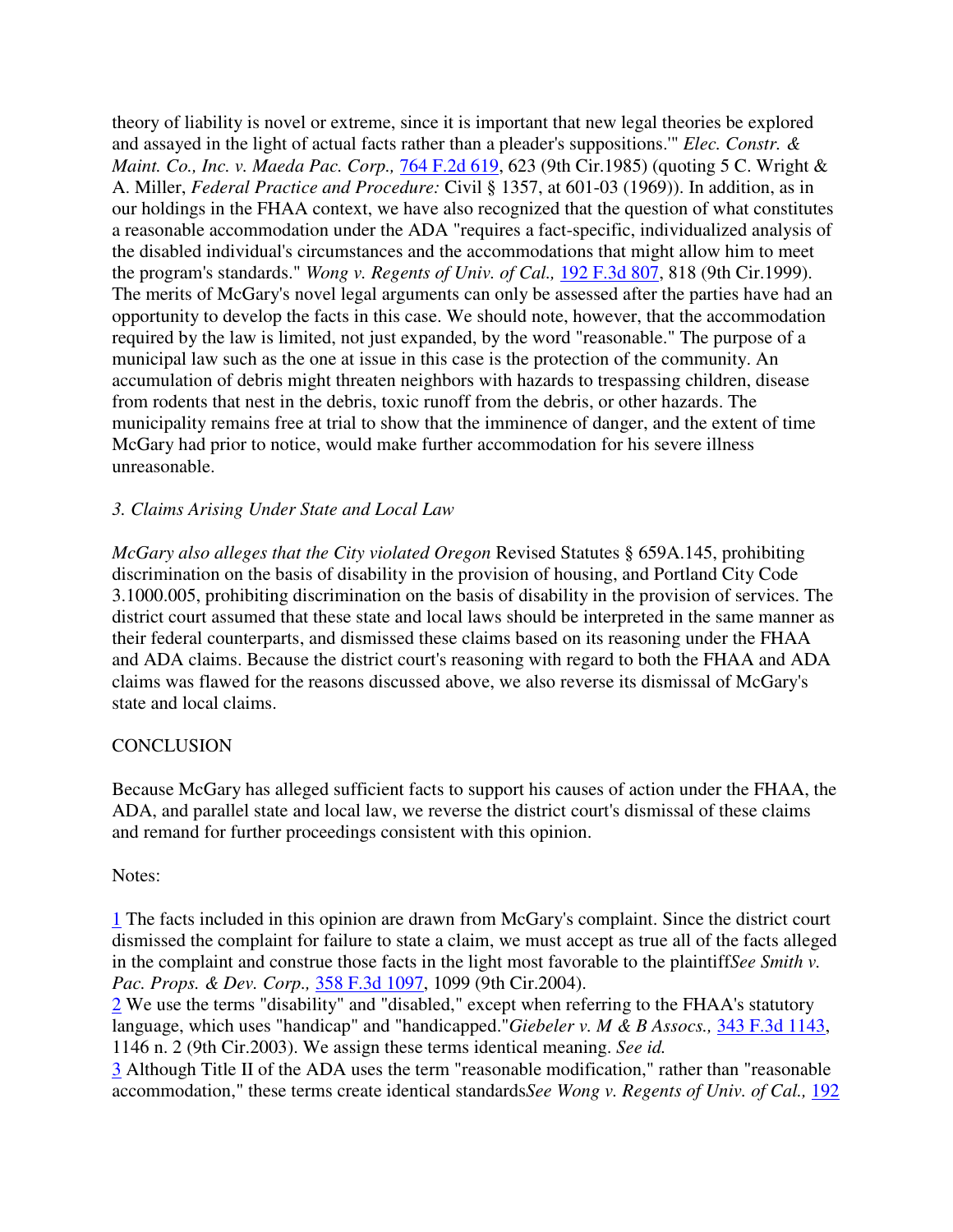theory of liability is novel or extreme, since it is important that new legal theories be explored and assayed in the light of actual facts rather than a pleader's suppositions.'" *Elec. Constr. & Maint. Co., Inc. v. Maeda Pac. Corp.,* 764 F.2d 619, 623 (9th Cir.1985) (quoting 5 C. Wright & A. Miller, *Federal Practice and Procedure:* Civil § 1357, at 601-03 (1969)). In addition, as in our holdings in the FHAA context, we have also recognized that the question of what constitutes a reasonable accommodation under the ADA "requires a fact-specific, individualized analysis of the disabled individual's circumstances and the accommodations that might allow him to meet the program's standards." *Wong v. Regents of Univ. of Cal.,* 192 F.3d 807, 818 (9th Cir.1999). The merits of McGary's novel legal arguments can only be assessed after the parties have had an opportunity to develop the facts in this case. We should note, however, that the accommodation required by the law is limited, not just expanded, by the word "reasonable." The purpose of a municipal law such as the one at issue in this case is the protection of the community. An accumulation of debris might threaten neighbors with hazards to trespassing children, disease from rodents that nest in the debris, toxic runoff from the debris, or other hazards. The municipality remains free at trial to show that the imminence of danger, and the extent of time McGary had prior to notice, would make further accommodation for his severe illness unreasonable.

### *3. Claims Arising Under State and Local Law*

*McGary also alleges that the City violated Oregon* Revised Statutes § 659A.145, prohibiting discrimination on the basis of disability in the provision of housing, and Portland City Code 3.1000.005, prohibiting discrimination on the basis of disability in the provision of services. The district court assumed that these state and local laws should be interpreted in the same manner as their federal counterparts, and dismissed these claims based on its reasoning under the FHAA and ADA claims. Because the district court's reasoning with regard to both the FHAA and ADA claims was flawed for the reasons discussed above, we also reverse its dismissal of McGary's state and local claims.

### **CONCLUSION**

Because McGary has alleged sufficient facts to support his causes of action under the FHAA, the ADA, and parallel state and local law, we reverse the district court's dismissal of these claims and remand for further proceedings consistent with this opinion.

### Notes:

1 The facts included in this opinion are drawn from McGary's complaint. Since the district court dismissed the complaint for failure to state a claim, we must accept as true all of the facts alleged in the complaint and construe those facts in the light most favorable to the plaintiff*See Smith v. Pac. Props. & Dev. Corp.,* 358 F.3d 1097, 1099 (9th Cir.2004).

2 We use the terms "disability" and "disabled," except when referring to the FHAA's statutory language, which uses "handicap" and "handicapped."*Giebeler v. M & B Assocs.,* 343 F.3d 1143, 1146 n. 2 (9th Cir.2003). We assign these terms identical meaning. *See id.*

3 Although Title II of the ADA uses the term "reasonable modification," rather than "reasonable accommodation," these terms create identical standards*See Wong v. Regents of Univ. of Cal.,* 192